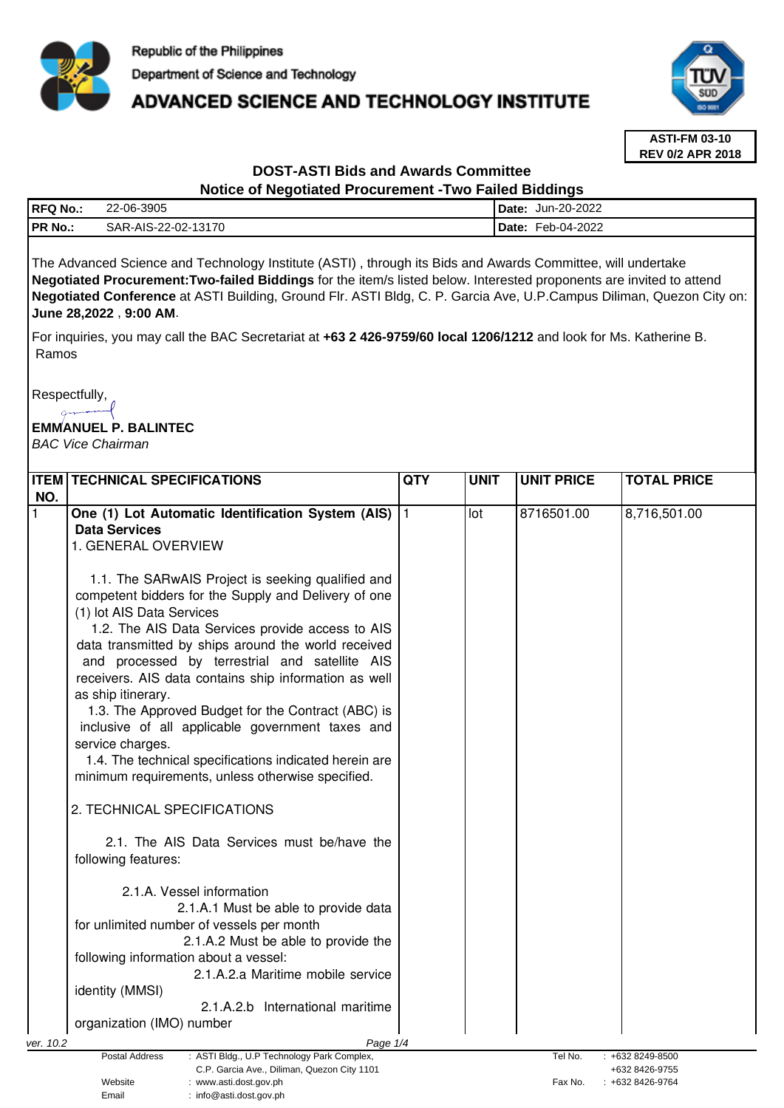

# **ADVANCED SCIENCE AND TECHNOLOGY INSTITUTE**



**ASTI-FM 03-10 REV 0/2 APR 2018**

## **DOST-ASTI Bids and Awards Committee Notice of Negotiated Procurement -Two Failed Biddings**

| <b>RFQ No</b>  | 22-06-3905          | Jun-20-2022<br><b>I</b> Date: |
|----------------|---------------------|-------------------------------|
| <b>PR No.:</b> | SAR-AIS-22-02-13170 | Feb-04-2022<br><b>IDate:</b>  |
|                |                     |                               |

The Advanced Science and Technology Institute (ASTI) , through its Bids and Awards Committee, will undertake **Negotiated Procurement:Two-failed Biddings** for the item/s listed below. Interested proponents are invited to attend **Negotiated Conference** at ASTI Building, Ground Flr. ASTI Bldg, C. P. Garcia Ave, U.P.Campus Diliman, Quezon City on: **June 28,2022** , **9:00 AM**.

For inquiries, you may call the BAC Secretariat at **+63 2 426-9759/60 local 1206/1212** and look for Ms. Katherine B. Ramos

Respectfully,  $\sim$ 

# **EMMANUEL P. BALINTEC**

BAC Vice Chairman

| <b>∏т</b> ем | <b>TECHNICAL SPECIFICATIONS</b>                                                                             | <b>QTY</b> | <b>UNIT</b> | <b>UNIT PRICE</b> | <b>TOTAL PRICE</b>                 |  |  |  |
|--------------|-------------------------------------------------------------------------------------------------------------|------------|-------------|-------------------|------------------------------------|--|--|--|
| NO.          |                                                                                                             |            |             |                   |                                    |  |  |  |
|              | One (1) Lot Automatic Identification System (AIS)                                                           |            | lot         | 8716501.00        | 8,716,501.00                       |  |  |  |
|              | <b>Data Services</b>                                                                                        |            |             |                   |                                    |  |  |  |
|              | 1. GENERAL OVERVIEW                                                                                         |            |             |                   |                                    |  |  |  |
|              |                                                                                                             |            |             |                   |                                    |  |  |  |
|              | 1.1. The SARwAIS Project is seeking qualified and                                                           |            |             |                   |                                    |  |  |  |
|              | competent bidders for the Supply and Delivery of one                                                        |            |             |                   |                                    |  |  |  |
|              | (1) lot AIS Data Services                                                                                   |            |             |                   |                                    |  |  |  |
|              | 1.2. The AIS Data Services provide access to AIS                                                            |            |             |                   |                                    |  |  |  |
|              | data transmitted by ships around the world received                                                         |            |             |                   |                                    |  |  |  |
|              | and processed by terrestrial and satellite AIS                                                              |            |             |                   |                                    |  |  |  |
|              | receivers. AIS data contains ship information as well                                                       |            |             |                   |                                    |  |  |  |
|              | as ship itinerary.                                                                                          |            |             |                   |                                    |  |  |  |
|              | 1.3. The Approved Budget for the Contract (ABC) is                                                          |            |             |                   |                                    |  |  |  |
|              | inclusive of all applicable government taxes and                                                            |            |             |                   |                                    |  |  |  |
|              | service charges.                                                                                            |            |             |                   |                                    |  |  |  |
|              | 1.4. The technical specifications indicated herein are                                                      |            |             |                   |                                    |  |  |  |
|              |                                                                                                             |            |             |                   |                                    |  |  |  |
|              | minimum requirements, unless otherwise specified.                                                           |            |             |                   |                                    |  |  |  |
|              | 2. TECHNICAL SPECIFICATIONS                                                                                 |            |             |                   |                                    |  |  |  |
|              |                                                                                                             |            |             |                   |                                    |  |  |  |
|              | 2.1. The AIS Data Services must be/have the                                                                 |            |             |                   |                                    |  |  |  |
|              | following features:                                                                                         |            |             |                   |                                    |  |  |  |
|              |                                                                                                             |            |             |                   |                                    |  |  |  |
|              | 2.1.A. Vessel information                                                                                   |            |             |                   |                                    |  |  |  |
|              | 2.1.A.1 Must be able to provide data                                                                        |            |             |                   |                                    |  |  |  |
|              | for unlimited number of vessels per month                                                                   |            |             |                   |                                    |  |  |  |
|              | 2.1.A.2 Must be able to provide the                                                                         |            |             |                   |                                    |  |  |  |
|              | following information about a vessel:                                                                       |            |             |                   |                                    |  |  |  |
|              | 2.1.A.2.a Maritime mobile service                                                                           |            |             |                   |                                    |  |  |  |
|              |                                                                                                             |            |             |                   |                                    |  |  |  |
|              | identity (MMSI)                                                                                             |            |             |                   |                                    |  |  |  |
|              | 2.1.A.2.b International maritime                                                                            |            |             |                   |                                    |  |  |  |
|              | organization (IMO) number                                                                                   |            |             |                   |                                    |  |  |  |
| ver. 10.2    | Page 1/4                                                                                                    |            |             |                   |                                    |  |  |  |
|              | : ASTI Bldg., U.P Technology Park Complex,<br>Postal Address<br>C.P. Garcia Ave., Diliman, Quezon City 1101 |            |             | Tel No.           | : +632 8249-8500<br>+632 8426-9755 |  |  |  |
|              | Website<br>www.asti.dost.gov.ph                                                                             |            |             | Fax No.           | +632 8426-9764                     |  |  |  |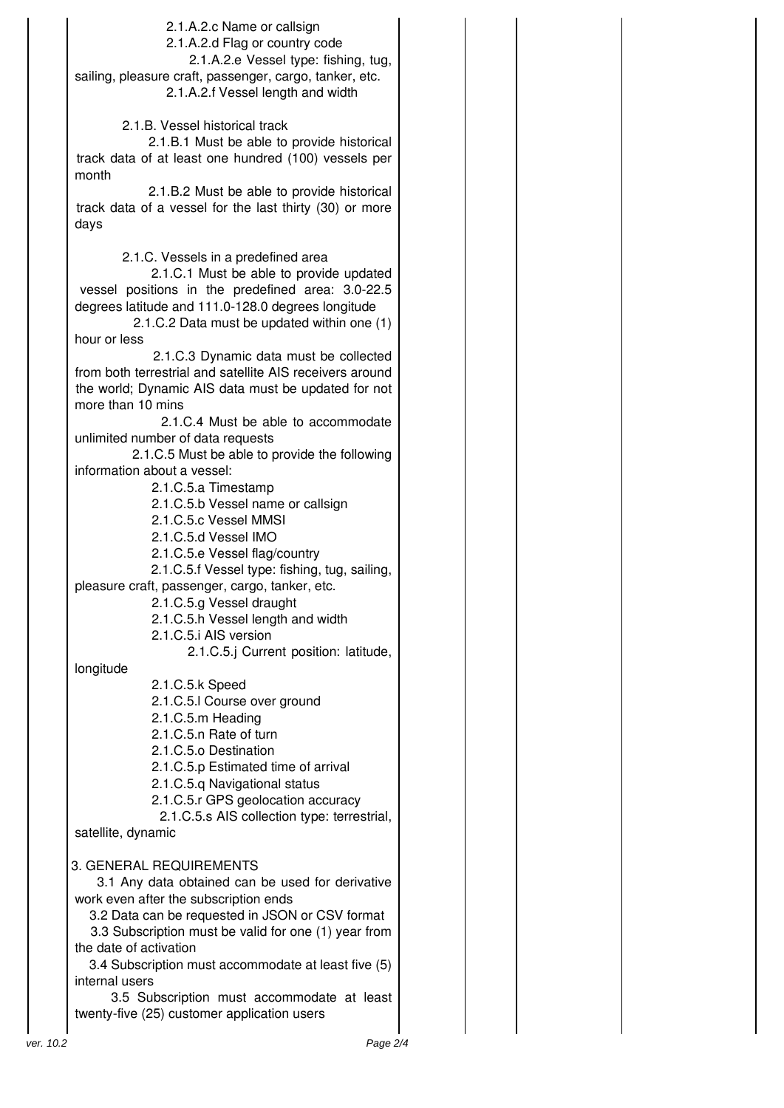|           | 2.1.A.2.c Name or callsign                                        |  |  |
|-----------|-------------------------------------------------------------------|--|--|
|           | 2.1.A.2.d Flag or country code                                    |  |  |
|           |                                                                   |  |  |
|           | 2.1.A.2.e Vessel type: fishing, tug,                              |  |  |
|           | sailing, pleasure craft, passenger, cargo, tanker, etc.           |  |  |
|           | 2.1.A.2.f Vessel length and width                                 |  |  |
|           |                                                                   |  |  |
|           | 2.1.B. Vessel historical track                                    |  |  |
|           | 2.1.B.1 Must be able to provide historical                        |  |  |
|           | track data of at least one hundred (100) vessels per              |  |  |
|           | month                                                             |  |  |
|           | 2.1.B.2 Must be able to provide historical                        |  |  |
|           | track data of a vessel for the last thirty (30) or more           |  |  |
|           | days                                                              |  |  |
|           |                                                                   |  |  |
|           | 2.1.C. Vessels in a predefined area                               |  |  |
|           | 2.1.C.1 Must be able to provide updated                           |  |  |
|           | vessel positions in the predefined area: 3.0-22.5                 |  |  |
|           |                                                                   |  |  |
|           | degrees latitude and 111.0-128.0 degrees longitude                |  |  |
|           | 2.1.C.2 Data must be updated within one (1)                       |  |  |
|           | hour or less                                                      |  |  |
|           | 2.1.C.3 Dynamic data must be collected                            |  |  |
|           | from both terrestrial and satellite AIS receivers around          |  |  |
|           | the world; Dynamic AIS data must be updated for not               |  |  |
|           | more than 10 mins                                                 |  |  |
|           | 2.1.C.4 Must be able to accommodate                               |  |  |
|           | unlimited number of data requests                                 |  |  |
|           | 2.1.C.5 Must be able to provide the following                     |  |  |
|           | information about a vessel:                                       |  |  |
|           | 2.1.C.5.a Timestamp                                               |  |  |
|           | 2.1.C.5.b Vessel name or callsign                                 |  |  |
|           | 2.1.C.5.c Vessel MMSI                                             |  |  |
|           | 2.1.C.5.d Vessel IMO                                              |  |  |
|           | 2.1.C.5.e Vessel flag/country                                     |  |  |
|           | 2.1.C.5.f Vessel type: fishing, tug, sailing,                     |  |  |
|           | pleasure craft, passenger, cargo, tanker, etc.                    |  |  |
|           | 2.1.C.5.g Vessel draught                                          |  |  |
|           | 2.1.C.5.h Vessel length and width                                 |  |  |
|           | 2.1.C.5.i AIS version                                             |  |  |
|           | 2.1.C.5.j Current position: latitude,                             |  |  |
|           | longitude                                                         |  |  |
|           | 2.1.C.5.k Speed                                                   |  |  |
|           | 2.1.C.5.I Course over ground                                      |  |  |
|           | 2.1.C.5.m Heading                                                 |  |  |
|           | 2.1.C.5.n Rate of turn                                            |  |  |
|           | 2.1.C.5.o Destination                                             |  |  |
|           | 2.1.C.5.p Estimated time of arrival                               |  |  |
|           | 2.1.C.5.q Navigational status                                     |  |  |
|           | 2.1.C.5.r GPS geolocation accuracy                                |  |  |
|           |                                                                   |  |  |
|           | 2.1.C.5.s AIS collection type: terrestrial,<br>satellite, dynamic |  |  |
|           |                                                                   |  |  |
|           | 3. GENERAL REQUIREMENTS                                           |  |  |
|           | 3.1 Any data obtained can be used for derivative                  |  |  |
|           |                                                                   |  |  |
|           | work even after the subscription ends                             |  |  |
|           | 3.2 Data can be requested in JSON or CSV format                   |  |  |
|           | 3.3 Subscription must be valid for one (1) year from              |  |  |
|           | the date of activation                                            |  |  |
|           | 3.4 Subscription must accommodate at least five (5)               |  |  |
|           | internal users                                                    |  |  |
|           | 3.5 Subscription must accommodate at least                        |  |  |
|           | twenty-five (25) customer application users                       |  |  |
| ver. 10.2 | Page 2/4                                                          |  |  |
|           |                                                                   |  |  |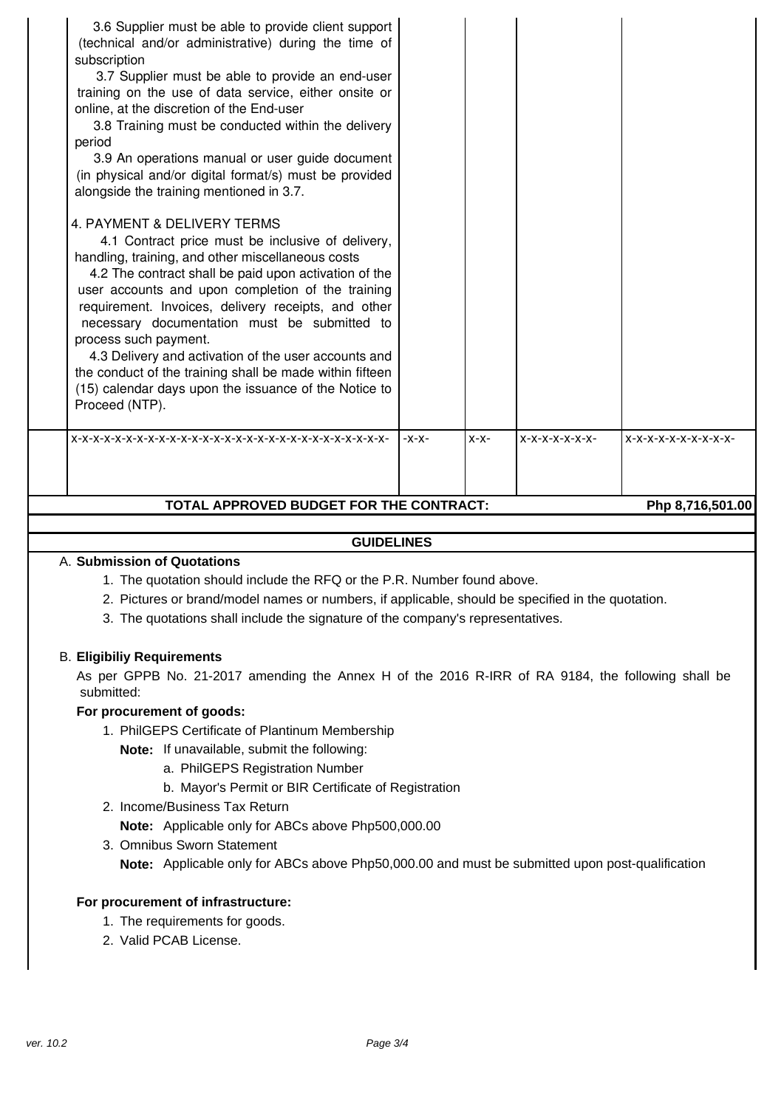# **GUIDELINES**

#### A. **Submission of Quotations**

- 1. The quotation should include the RFQ or the P.R. Number found above.
- 2. Pictures or brand/model names or numbers, if applicable, should be specified in the quotation.
- 3. The quotations shall include the signature of the company's representatives.

#### B. **Eligibiliy Requirements**

As per GPPB No. 21-2017 amending the Annex H of the 2016 R-IRR of RA 9184, the following shall be submitted:

#### **For procurement of goods:**

- 1. PhilGEPS Certificate of Plantinum Membership
	- **Note:** If unavailable, submit the following:
		- a. PhilGEPS Registration Number
		- b. Mayor's Permit or BIR Certificate of Registration
- 2. Income/Business Tax Return
	- **Note:** Applicable only for ABCs above Php500,000.00
- 3. Omnibus Sworn Statement

**Note:** Applicable only for ABCs above Php50,000.00 and must be submitted upon post-qualification

#### **For procurement of infrastructure:**

- 1. The requirements for goods.
- 2. Valid PCAB License.